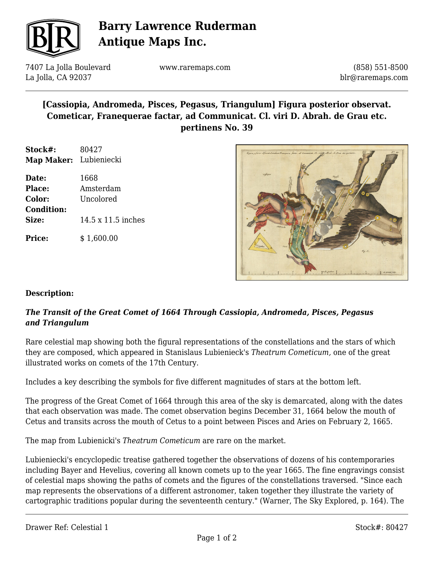

# **Barry Lawrence Ruderman Antique Maps Inc.**

7407 La Jolla Boulevard La Jolla, CA 92037

www.raremaps.com

(858) 551-8500 blr@raremaps.com

## **[Cassiopia, Andromeda, Pisces, Pegasus, Triangulum] Figura posterior observat. Cometicar, Franequerae factar, ad Communicat. Cl. viri D. Abrah. de Grau etc. pertinens No. 39**

| Stock#:                | 80427 |
|------------------------|-------|
| Map Maker: Lubieniecki |       |

| Date:             | 1668               |
|-------------------|--------------------|
| <b>Place:</b>     | Amsterdam          |
| Color:            | Uncolored          |
| <b>Condition:</b> |                    |
| Size:             | 14.5 x 11.5 inches |
|                   |                    |

**Price:**  $$ 1,600.00$ 



### **Description:**

### *The Transit of the Great Comet of 1664 Through Cassiopia, Andromeda, Pisces, Pegasus and Triangulum*

Rare celestial map showing both the figural representations of the constellations and the stars of which they are composed, which appeared in Stanislaus Lubienieck's *Theatrum Cometicum,* one of the great illustrated works on comets of the 17th Century.

Includes a key describing the symbols for five different magnitudes of stars at the bottom left.

The progress of the Great Comet of 1664 through this area of the sky is demarcated, along with the dates that each observation was made. The comet observation begins December 31, 1664 below the mouth of Cetus and transits across the mouth of Cetus to a point between Pisces and Aries on February 2, 1665.

The map from Lubienicki's *Theatrum Cometicum* are rare on the market.

Lubieniecki's encyclopedic treatise gathered together the observations of dozens of his contemporaries including Bayer and Hevelius, covering all known comets up to the year 1665. The fine engravings consist of celestial maps showing the paths of comets and the figures of the constellations traversed. "Since each map represents the observations of a different astronomer, taken together they illustrate the variety of cartographic traditions popular during the seventeenth century." (Warner, The Sky Explored, p. 164). The